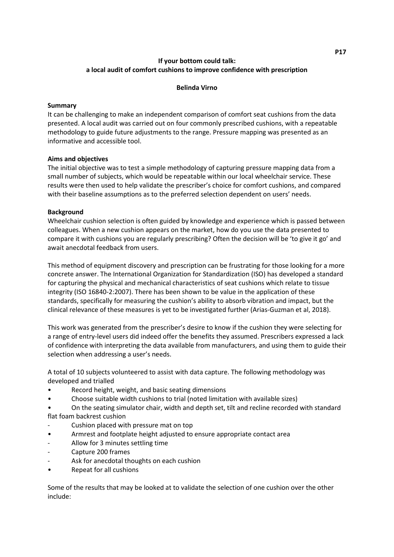# **If your bottom could talk: a local audit of comfort cushions to improve confidence with prescription**

#### **Belinda Virno**

#### **Summary**

It can be challenging to make an independent comparison of comfort seat cushions from the data presented. A local audit was carried out on four commonly prescribed cushions, with a repeatable methodology to guide future adjustments to the range. Pressure mapping was presented as an informative and accessible tool.

## **Aims and objectives**

The initial objective was to test a simple methodology of capturing pressure mapping data from a small number of subjects, which would be repeatable within our local wheelchair service. These results were then used to help validate the prescriber's choice for comfort cushions, and compared with their baseline assumptions as to the preferred selection dependent on users' needs.

## **Background**

Wheelchair cushion selection is often guided by knowledge and experience which is passed between colleagues. When a new cushion appears on the market, how do you use the data presented to compare it with cushions you are regularly prescribing? Often the decision will be 'to give it go' and await anecdotal feedback from users.

This method of equipment discovery and prescription can be frustrating for those looking for a more concrete answer. The International Organization for Standardization (ISO) has developed a standard for capturing the physical and mechanical characteristics of seat cushions which relate to tissue integrity (ISO 16840-2:2007). There has been shown to be value in the application of these standards, specifically for measuring the cushion's ability to absorb vibration and impact, but the clinical relevance of these measures is yet to be investigated further (Arias-Guzman et al, 2018).

This work was generated from the prescriber's desire to know if the cushion they were selecting for a range of entry-level users did indeed offer the benefits they assumed. Prescribers expressed a lack of confidence with interpreting the data available from manufacturers, and using them to guide their selection when addressing a user's needs.

A total of 10 subjects volunteered to assist with data capture. The following methodology was developed and trialled

- Record height, weight, and basic seating dimensions
- Choose suitable width cushions to trial (noted limitation with available sizes)
- On the seating simulator chair, width and depth set, tilt and recline recorded with standard flat foam backrest cushion
- Cushion placed with pressure mat on top
- Armrest and footplate height adjusted to ensure appropriate contact area
- Allow for 3 minutes settling time
- Capture 200 frames
- Ask for anecdotal thoughts on each cushion
- Repeat for all cushions

Some of the results that may be looked at to validate the selection of one cushion over the other include: